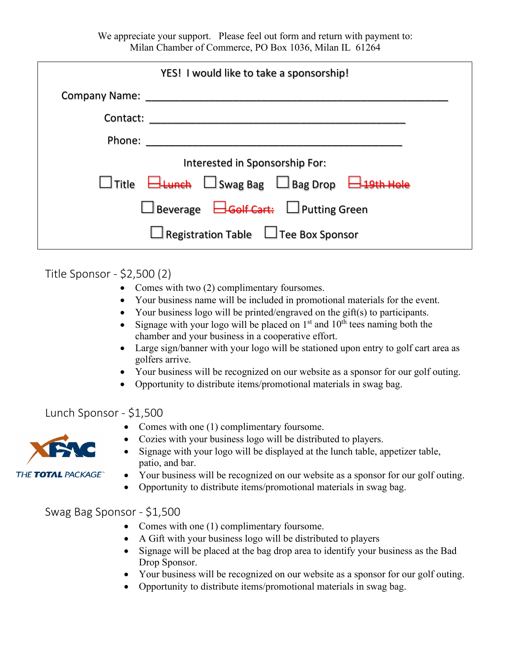We appreciate your support. Please feel out form and return with payment to: Milan Chamber of Commerce, PO Box 1036, Milan IL 61264

| YES! I would like to take a sponsorship!                                 |
|--------------------------------------------------------------------------|
| Company Name:                                                            |
| Contact:                                                                 |
| Phone:                                                                   |
| Interested in Sponsorship For:                                           |
| $\Box$ Lunch $\Box$ Swag Bag $\Box$ Bag Drop $\Box$ 19<br>$\sf{1}$ Title |
| $\Box$ Beverage $\Box$ Golf Cart: $\Box$ Putting Green                   |
| $\perp$ Registration Table $\perp$ Tee Box Sponsor                       |

Title Sponsor - \$2,500 (2)

- Comes with two (2) complimentary foursomes.
- Your business name will be included in promotional materials for the event.
- Your business logo will be printed/engraved on the gift(s) to participants.
- Signage with your logo will be placed on  $1<sup>st</sup>$  and  $10<sup>th</sup>$  tees naming both the chamber and your business in a cooperative effort.
- Large sign/banner with your logo will be stationed upon entry to golf cart area as golfers arrive.
- Your business will be recognized on our website as a sponsor for our golf outing.
- Opportunity to distribute items/promotional materials in swag bag.

Lunch Sponsor - \$1,500

- Comes with one (1) complimentary foursome.
- Cozies with your business logo will be distributed to players.
- THE TOTAL PACKAGE
- Signage with your logo will be displayed at the lunch table, appetizer table, patio, and bar.
- Your business will be recognized on our website as a sponsor for our golf outing.
- Opportunity to distribute items/promotional materials in swag bag.

Swag Bag Sponsor - \$1,500

- Comes with one (1) complimentary foursome.
- A Gift with your business logo will be distributed to players
- Signage will be placed at the bag drop area to identify your business as the Bad Drop Sponsor.
- Your business will be recognized on our website as a sponsor for our golf outing.
- Opportunity to distribute items/promotional materials in swag bag.